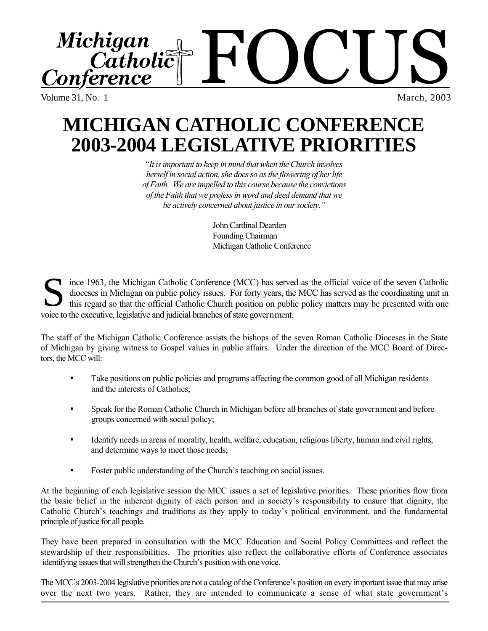

Volume 31, No. 1

March, 2003

# **MICHIGAN CATHOLIC CONFERENCE 2003-2004 LEGISLATIVE PRIORITIES**

"*It is important to keep in mind that when the Church involves herself in social action, she does so as the flowering of her life of Faith. We are impelled to this course because the convictions of the Faith that we profess in word and deed demand that we be actively concerned about justice in our society."*

> John Cardinal Dearden Founding Chairman Michigan Catholic Conference

ince 1963, the Michigan Catholic Conference (MCC) has served as the official voice of the seven Catholic dioceses in Michigan on public policy issues. For forty years, the MCC has served as the coordinating unit in this regard so that the official Catholic Church position on public policy matters may be presented with one Solice to the executive, legislative and judicial branches of state government.<br>Solid to the executive, legislative and judicial branches of state government.

The staff of the Michigan Catholic Conference assists the bishops of the seven Roman Catholic Dioceses in the State of Michigan by giving witness to Gospel values in public affairs. Under the direction of the MCC Board of Directors, the MCC will:

- Take positions on public policies and programs affecting the common good of all Michigan residents and the interests of Catholics;
- Speak for the Roman Catholic Church in Michigan before all branches of state government and before groups concerned with social policy;
- Identify needs in areas of morality, health, welfare, education, religious liberty, human and civil rights, and determine ways to meet those needs;
- Foster public understanding of the Church's teaching on social issues.

At the beginning of each legislative session the MCC issues a set of legislative priorities. These priorities flow from the basic belief in the inherent dignity of each person and in society's responsibility to ensure that dignity, the Catholic Church's teachings and traditions as they apply to today's political environment, and the fundamental principle of justice for all people.

They have been prepared in consultation with the MCC Education and Social Policy Committees and reflect the stewardship of their responsibilities. The priorities also reflect the collaborative efforts of Conference associates identifying issues that will strengthen the Church's position with one voice.

The MCC's 2003-2004 legislative priorities are not a catalog of the Conference's position on every important issue that may arise over the next two years. Rather, they are intended to communicate a sense of what state government's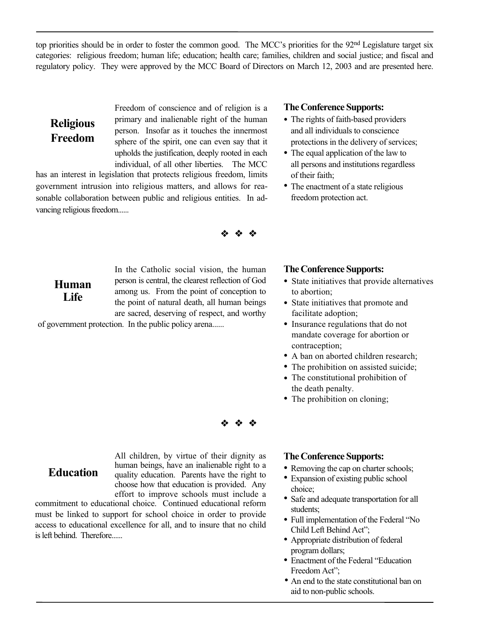top priorities should be in order to foster the common good. The MCC's priorities for the 92<sup>nd</sup> Legislature target six categories: religious freedom; human life; education; health care; families, children and social justice; and fiscal and regulatory policy. They were approved by the MCC Board of Directors on March 12, 2003 and are presented here.

## **Religious Freedom**

Freedom of conscience and of religion is a primary and inalienable right of the human person. Insofar as it touches the innermost sphere of the spirit, one can even say that it upholds the justification, deeply rooted in each individual, of all other liberties. The MCC

has an interest in legislation that protects religious freedom, limits government intrusion into religious matters, and allows for reasonable collaboration between public and religious entities. In advancing religious freedom......



**Human Life**

**Education**

In the Catholic social vision, the human person is central, the clearest reflection of God among us. From the point of conception to the point of natural death, all human beings are sacred, deserving of respect, and worthy

of government protection. In the public policy arena......

#### **The Conference Supports:**

- The rights of faith-based providers and all individuals to conscience protections in the delivery of services;
- The equal application of the law to all persons and institutions regardless of their faith;
- The enactment of a state religious freedom protection act.

#### **The Conference Supports:**

- State initiatives that provide alternatives to abortion;
- State initiatives that promote and facilitate adoption;
- Insurance regulations that do not mandate coverage for abortion or contraception;
- A ban on aborted children research; •
- The prohibition on assisted suicide; •
- The constitutional prohibition of the death penalty.
- The prohibition on cloning;



All children, by virtue of their dignity as human beings, have an inalienable right to a quality education. Parents have the right to choose how that education is provided. Any effort to improve schools must include a

commitment to educational choice. Continued educational reform must be linked to support for school choice in order to provide access to educational excellence for all, and to insure that no child is left behind. Therefore......

#### **The Conference Supports:**

- Removing the cap on charter schools;
- Expansion of existing public school choice; •
- Safe and adequate transportation for all students;
- Full implementation of the Federal "No Child Left Behind Act";
- Appropriate distribution of federal program dollars;
- Enactment of the Federal "Education Freedom Act";
- An end to the state constitutional ban on •aid to non-public schools.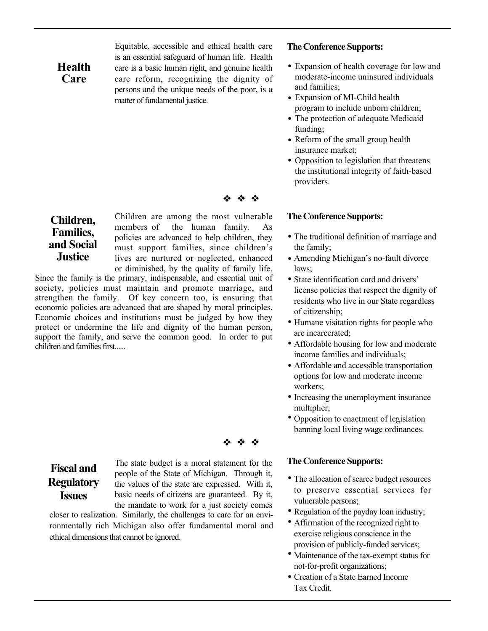Equitable, accessible and ethical health care is an essential safeguard of human life. Health care is a basic human right, and genuine health care reform, recognizing the dignity of persons and the unique needs of the poor, is a matter of fundamental justice.

#### **The Conference Supports:**

- Expansion of health coverage for low and moderate-income uninsured individuals and families;
- Expansion of MI-Child health program to include unborn children;
- The protection of adequate Medicaid funding;
- Reform of the small group health insurance market;
- Opposition to legislation that threatens the institutional integrity of faith-based providers.

#### **The Conference Supports:**

- The traditional definition of marriage and the family;
- Amending Michigan's no-fault divorce laws;
- State identification card and drivers' license policies that respect the dignity of residents who live in our State regardless of citizenship;
- Humane visitation rights for people who are incarcerated;
- Affordable housing for low and moderate income families and individuals;
- Affordable and accessible transportation options for low and moderate income workers;
- Increasing the unemployment insurance multiplier;
- Opposition to enactment of legislation banning local living wage ordinances.

#### **The Conference Supports:**

- The allocation of scarce budget resources to preserve essential services for vulnerable persons;
- Regulation of the payday loan industry;
- Affirmation of the recognized right to exercise religious conscience in the provision of publicly-funded services;
- Maintenance of the tax-exempt status for not-for-profit organizations;
- Creation of a State Earned Income •Tax Credit.

## **Children, Families, and Social Justice**

Children are among the most vulnerable members of the human family. As policies are advanced to help children, they must support families, since children's lives are nurtured or neglected, enhanced or diminished, by the quality of family life.

Since the family is the primary, indispensable, and essential unit of society, policies must maintain and promote marriage, and strengthen the family. Of key concern too, is ensuring that economic policies are advanced that are shaped by moral principles. Economic choices and institutions must be judged by how they protect or undermine the life and dignity of the human person, support the family, and serve the common good. In order to put children and families first......

**Fiscal and Regulatory Issues**

The state budget is a moral statement for the people of the State of Michigan. Through it, the values of the state are expressed. With it, basic needs of citizens are guaranteed. By it, the mandate to work for a just society comes

closer to realization. Similarly, the challenges to care for an environmentally rich Michigan also offer fundamental moral and ethical dimensions that cannot be ignored.

### **Health Care**